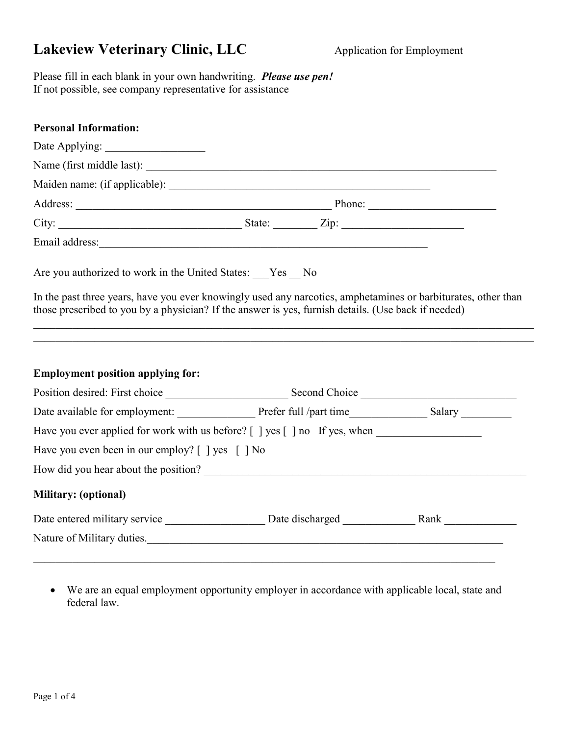## Lakeview Veterinary Clinic, LLC Application for Employment

Please fill in each blank in your own handwriting. Please use pen! If not possible, see company representative for assistance

| Name (first middle last):                                                                                                                                                                                            |  |
|----------------------------------------------------------------------------------------------------------------------------------------------------------------------------------------------------------------------|--|
|                                                                                                                                                                                                                      |  |
|                                                                                                                                                                                                                      |  |
|                                                                                                                                                                                                                      |  |
|                                                                                                                                                                                                                      |  |
| Are you authorized to work in the United States: Yes No                                                                                                                                                              |  |
| In the past three years, have you ever knowingly used any narcotics, amphetamines or barbiturates, other than<br>those prescribed to you by a physician? If the answer is yes, furnish details. (Use back if needed) |  |
| <b>Employment position applying for:</b>                                                                                                                                                                             |  |
|                                                                                                                                                                                                                      |  |
|                                                                                                                                                                                                                      |  |
| Have you ever applied for work with us before? [ ] yes [ ] no If yes, when ________________________                                                                                                                  |  |
| Have you even been in our employ? [ ] yes [ ] No                                                                                                                                                                     |  |
|                                                                                                                                                                                                                      |  |
| Military: (optional)                                                                                                                                                                                                 |  |
|                                                                                                                                                                                                                      |  |

 We are an equal employment opportunity employer in accordance with applicable local, state and federal law.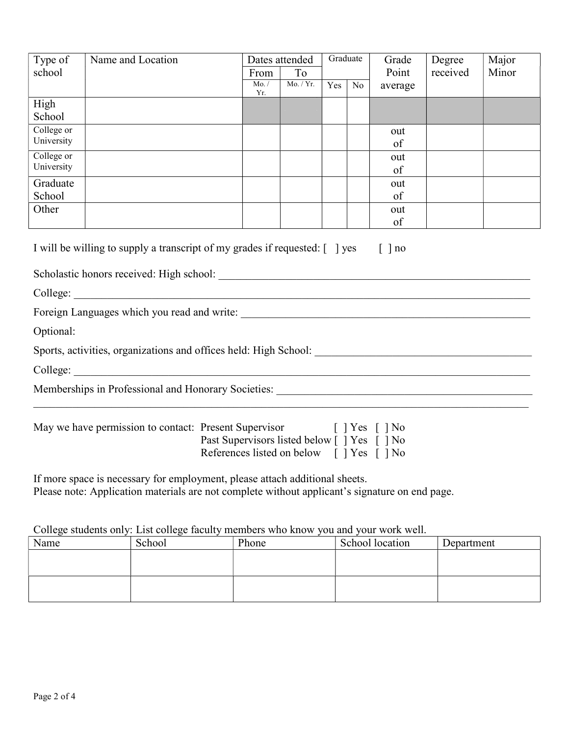| Type of                                                                                        | Name and Location                                                                                                     |                                            |              | Dates attended | Graduate |    | Grade         | Degree   | Major |
|------------------------------------------------------------------------------------------------|-----------------------------------------------------------------------------------------------------------------------|--------------------------------------------|--------------|----------------|----------|----|---------------|----------|-------|
| school                                                                                         |                                                                                                                       |                                            | From         | To             |          |    | Point         | received | Minor |
|                                                                                                |                                                                                                                       |                                            | Mo. /<br>Yr. | Mo. / Yr.      | Yes      | No | average       |          |       |
| High                                                                                           |                                                                                                                       |                                            |              |                |          |    |               |          |       |
| School                                                                                         |                                                                                                                       |                                            |              |                |          |    |               |          |       |
| College or                                                                                     |                                                                                                                       |                                            |              |                |          |    | out           |          |       |
| University                                                                                     |                                                                                                                       |                                            |              |                |          |    | of            |          |       |
| College or                                                                                     |                                                                                                                       |                                            |              |                |          |    | out           |          |       |
| University                                                                                     |                                                                                                                       |                                            |              |                |          |    | of            |          |       |
| Graduate                                                                                       |                                                                                                                       |                                            |              |                |          |    | out           |          |       |
| School                                                                                         |                                                                                                                       |                                            |              |                |          |    | of            |          |       |
| Other                                                                                          |                                                                                                                       |                                            |              |                |          |    | out           |          |       |
|                                                                                                |                                                                                                                       |                                            |              |                |          |    | of            |          |       |
|                                                                                                |                                                                                                                       |                                            |              |                |          |    |               |          |       |
|                                                                                                | I will be willing to supply a transcript of my grades if requested: [ ] yes                                           |                                            |              |                |          |    | $\lceil$   no |          |       |
|                                                                                                |                                                                                                                       |                                            |              |                |          |    |               |          |       |
|                                                                                                |                                                                                                                       |                                            |              |                |          |    |               |          |       |
| College:                                                                                       |                                                                                                                       |                                            |              |                |          |    |               |          |       |
|                                                                                                |                                                                                                                       |                                            |              |                |          |    |               |          |       |
| Optional:                                                                                      |                                                                                                                       |                                            |              |                |          |    |               |          |       |
|                                                                                                |                                                                                                                       |                                            |              |                |          |    |               |          |       |
| College:                                                                                       | <u> 1989 - Andrea Station Barbara, actor a component de la componentación de la componentación de la componentaci</u> |                                            |              |                |          |    |               |          |       |
|                                                                                                |                                                                                                                       |                                            |              |                |          |    |               |          |       |
|                                                                                                |                                                                                                                       |                                            |              |                |          |    |               |          |       |
|                                                                                                |                                                                                                                       |                                            |              |                |          |    |               |          |       |
| May we have permission to contact: Present Supervisor [] Yes [] No                             |                                                                                                                       |                                            |              |                |          |    |               |          |       |
|                                                                                                |                                                                                                                       | Past Supervisors listed below [] Yes [] No |              |                |          |    |               |          |       |
|                                                                                                | References listed on below [] Yes [] No                                                                               |                                            |              |                |          |    |               |          |       |
| If more space is necessary for employment, please attach additional sheets.                    |                                                                                                                       |                                            |              |                |          |    |               |          |       |
| Please note: Application materials are not complete without applicant's signature on end page. |                                                                                                                       |                                            |              |                |          |    |               |          |       |
|                                                                                                |                                                                                                                       |                                            |              |                |          |    |               |          |       |

College students only: List college faculty members who know you and your work well.

| Name | School | Phone | School location | Department |
|------|--------|-------|-----------------|------------|
|      |        |       |                 |            |
|      |        |       |                 |            |
|      |        |       |                 |            |
|      |        |       |                 |            |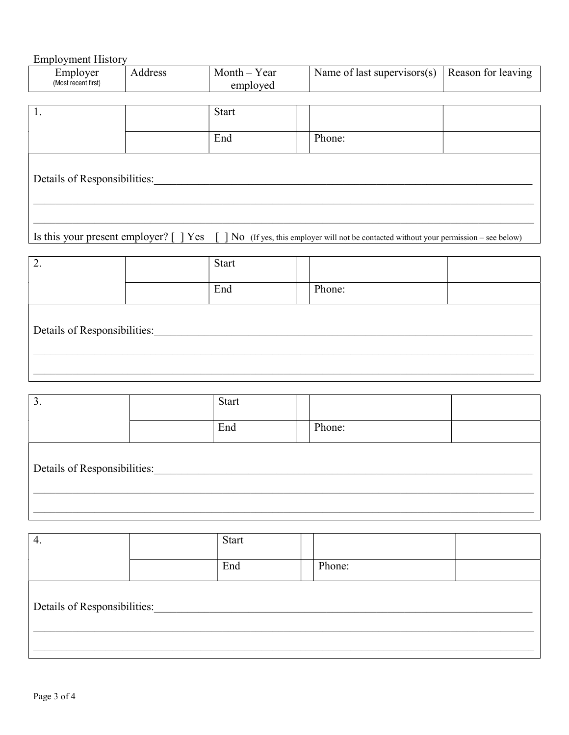## **Employment History**

| Employer<br>(Most recent first)                                                                                                    | Address | Month – Year<br>employed | Name of last supervisors(s) | Reason for leaving |  |  |
|------------------------------------------------------------------------------------------------------------------------------------|---------|--------------------------|-----------------------------|--------------------|--|--|
| 1.                                                                                                                                 |         | <b>Start</b>             |                             |                    |  |  |
|                                                                                                                                    |         | End                      | Phone:                      |                    |  |  |
| Details of Responsibilities:                                                                                                       |         |                          |                             |                    |  |  |
|                                                                                                                                    |         |                          |                             |                    |  |  |
|                                                                                                                                    |         |                          |                             |                    |  |  |
| Is this your present employer? $[$ $]$ Yes<br>No (If yes, this employer will not be contacted without your permission – see below) |         |                          |                             |                    |  |  |

| ٠.                           |  | Start |        |  |  |  |
|------------------------------|--|-------|--------|--|--|--|
|                              |  | End   | Phone: |  |  |  |
| Details of Responsibilities: |  |       |        |  |  |  |
|                              |  |       |        |  |  |  |

| 3.                           | Start |        |  |
|------------------------------|-------|--------|--|
|                              | End   | Phone: |  |
| Details of Responsibilities: |       |        |  |

| 4.                           |  | Start |  |        |  |  |
|------------------------------|--|-------|--|--------|--|--|
|                              |  | End   |  | Phone: |  |  |
| Details of Responsibilities: |  |       |  |        |  |  |
|                              |  |       |  |        |  |  |